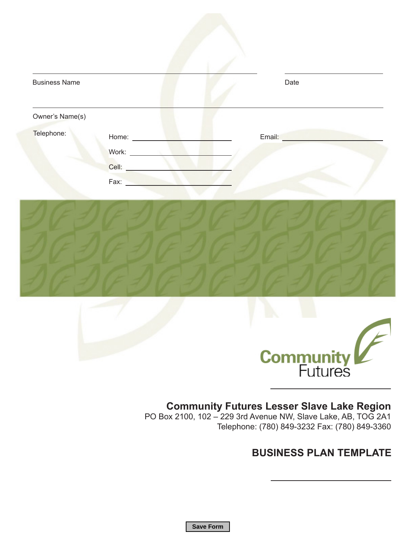| <b>Business Name</b> |                               | Date   |  |
|----------------------|-------------------------------|--------|--|
| Owner's Name(s)      |                               |        |  |
| Telephone:           | Home: $\_\_$<br>Cell:<br>Fax: | Email: |  |





## **Community Futures Lesser Slave Lake Region**

PO Box 2100, 102 – 229 3rd Avenue NW, Slave Lake, AB, TOG 2A1 Telephone: (780) 849-3232 Fax: (780) 849-3360

## **BUSINESS PLAN TEMPLATE**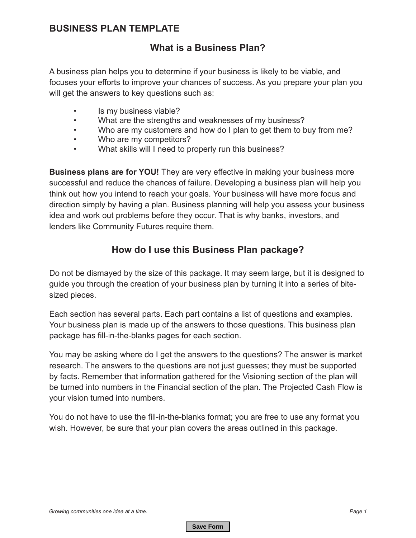#### **BUSINESS PLAN TEMPLATE**

## **What is a Business Plan?**

A business plan helps you to determine if your business is likely to be viable, and focuses your efforts to improve your chances of success. As you prepare your plan you will get the answers to key questions such as:

- Is my business viable?
- What are the strengths and weaknesses of my business?
- Who are my customers and how do I plan to get them to buy from me?
- Who are my competitors?
- What skills will I need to properly run this business?

**Business plans are for YOU!** They are very effective in making your business more successful and reduce the chances of failure. Developing a business plan will help you think out how you intend to reach your goals. Your business will have more focus and direction simply by having a plan. Business planning will help you assess your business idea and work out problems before they occur. That is why banks, investors, and lenders like Community Futures require them.

## **How do I use this Business Plan package?**

Do not be dismayed by the size of this package. It may seem large, but it is designed to guide you through the creation of your business plan by turning it into a series of bitesized pieces.

Each section has several parts. Each part contains a list of questions and examples. Your business plan is made up of the answers to those questions. This business plan package has fill-in-the-blanks pages for each section.

You may be asking where do I get the answers to the questions? The answer is market research. The answers to the questions are not just guesses; they must be supported by facts. Remember that information gathered for the Visioning section of the plan will be turned into numbers in the Financial section of the plan. The Projected Cash Flow is your vision turned into numbers.

You do not have to use the fill-in-the-blanks format; you are free to use any format you wish. However, be sure that your plan covers the areas outlined in this package.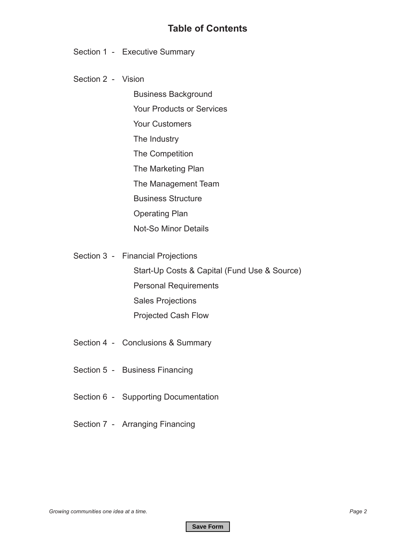#### **Table of Contents**

Section 1 - Executive Summary

Section 2 - Vision

 Business Background Your Products or Services Your Customers The Industry The Competition The Marketing Plan The Management Team Business Structure Operating Plan Not-So Minor Details

Section 3 - Financial Projections

 Start-Up Costs & Capital (Fund Use & Source) Personal Requirements Sales Projections Projected Cash Flow

- Section 4 Conclusions & Summary
- Section 5 Business Financing
- Section 6 Supporting Documentation
- Section 7 Arranging Financing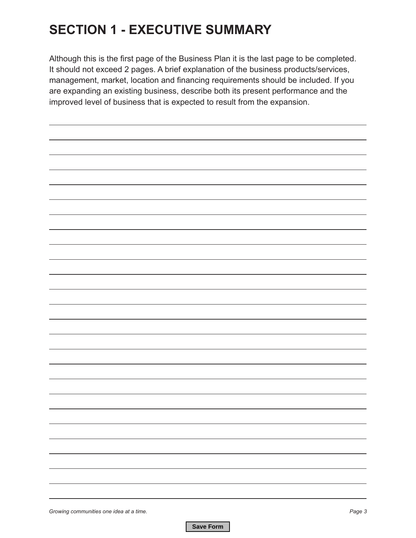# **SECTION 1 - EXECUTIVE SUMMARY**

Although this is the first page of the Business Plan it is the last page to be completed. It should not exceed 2 pages. A brief explanation of the business products/services, management, market, location and financing requirements should be included. If you are expanding an existing business, describe both its present performance and the improved level of business that is expected to result from the expansion.

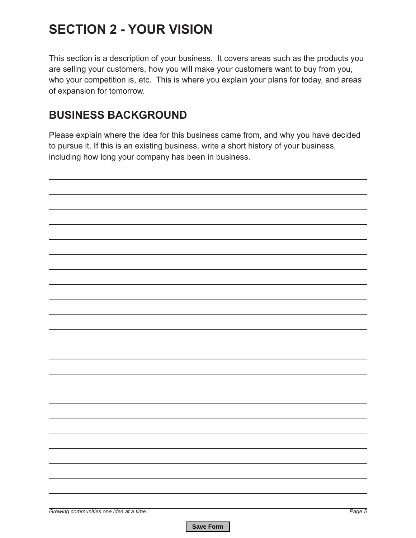# **SECTION 2 - YOUR VISION**

This section is a description of your business. It covers areas such as the products you are selling your customers, how you will make your customers want to buy from you, who your competition is, etc. This is where you explain your plans for today, and areas of expansion for tomorrow.

## **BUSINESS BACKGROUND**

Please explain where the idea for this business came from, and why you have decided to pursue it. If this is an existing business, write a short history of your business, including how long your company has been in business.

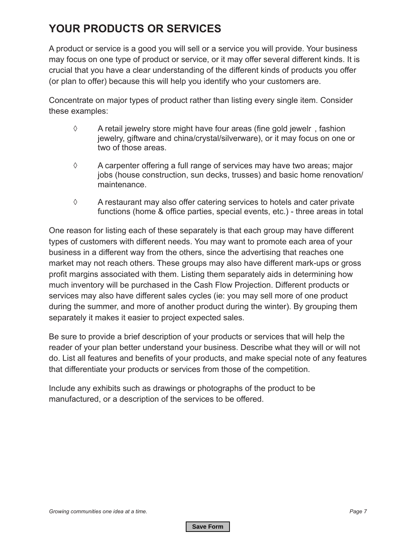## **YOUR PRODUCTS OR SERVICES**

A product or service is a good you will sell or a service you will provide. Your business may focus on one type of product or service, or it may offer several different kinds. It is crucial that you have a clear understanding of the different kinds of products you offer (or plan to offer) because this will help you identify who your customers are.

Concentrate on major types of product rather than listing every single item. Consider these examples:

- ◊ A retail jewelry store might have four areas (fine gold jewelr , fashion jewelry, giftware and china/crystal/silverware), or it may focus on one or two of those areas.
- ◊ A carpenter offering a full range of services may have two areas; major jobs (house construction, sun decks, trusses) and basic home renovation/ maintenance.
- ◊ A restaurant may also offer catering services to hotels and cater private functions (home & office parties, special events, etc.) - three areas in total

One reason for listing each of these separately is that each group may have different types of customers with different needs. You may want to promote each area of your business in a different way from the others, since the advertising that reaches one market may not reach others. These groups may also have different mark-ups or gross profit margins associated with them. Listing them separately aids in determining how much inventory will be purchased in the Cash Flow Projection. Different products or services may also have different sales cycles (ie: you may sell more of one product during the summer, and more of another product during the winter). By grouping them separately it makes it easier to project expected sales.

Be sure to provide a brief description of your products or services that will help the reader of your plan better understand your business. Describe what they will or will not do. List all features and benefits of your products, and make special note of any features that differentiate your products or services from those of the competition.

Include any exhibits such as drawings or photographs of the product to be manufactured, or a description of the services to be offered.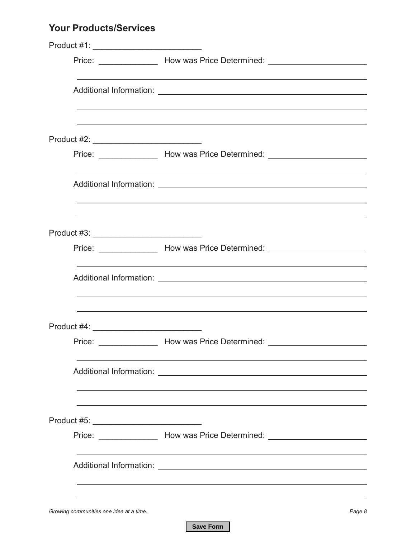## **Your Products/Services**

| Product #1: __________________________________ |                                                                                                                                                                                                          |
|------------------------------------------------|----------------------------------------------------------------------------------------------------------------------------------------------------------------------------------------------------------|
|                                                | Price: ______________________ How was Price Determined: ________________________                                                                                                                         |
|                                                | <u> 1989 - Johann Stoff, amerikansk politiker (* 1908)</u>                                                                                                                                               |
|                                                |                                                                                                                                                                                                          |
|                                                | Price: _______________________ How was Price Determined: _______________________                                                                                                                         |
|                                                | ,我们也不会有什么。""我们的人,我们也不会有什么?""我们的人,我们也不会有什么?""我们的人,我们也不会有什么?""我们的人,我们也不会有什么?""我们的人                                                                                                                         |
|                                                | ,我们也不会有什么。""我们的人,我们也不会有什么?""我们的人,我们也不会有什么?""我们的人,我们也不会有什么?""我们的人,我们也不会有什么?""我们的人                                                                                                                         |
|                                                | Price: ___________________ How was Price Determined: ___________________________<br><u> 1989 - Andrea Santa Andrea Andrea Santa Andrea Andrea Andrea Andrea Andrea Andrea Andrea Andrea Andrea Andre</u> |
|                                                | <u> 1989 - Johann Stoff, amerikansk politiker (* 1908)</u><br>,我们也不会有什么。""我们的人,我们也不会有什么?""我们的人,我们也不会有什么?""我们的人,我们也不会有什么?""我们的人,我们也不会有什么?""我们的人                                                           |
|                                                |                                                                                                                                                                                                          |
|                                                | Price: _______________________ How was Price Determined: _______________________                                                                                                                         |
|                                                |                                                                                                                                                                                                          |
| Product #5: _______________________________    |                                                                                                                                                                                                          |
|                                                | Price: __________________ How was Price Determined: ____________________________                                                                                                                         |
|                                                |                                                                                                                                                                                                          |
| Growing communities one idea at a time.        | Page 8                                                                                                                                                                                                   |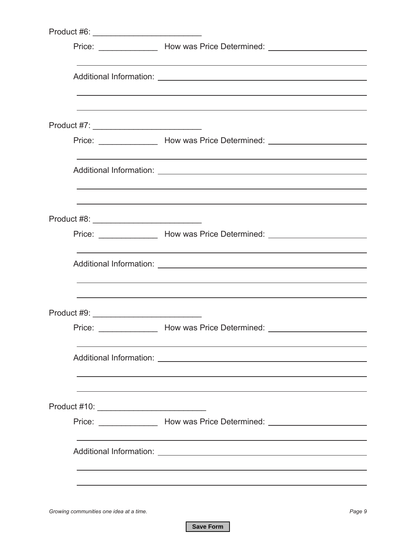|                                             | Price: ___________________ How was Price Determined: ___________________________                                                                                                                           |
|---------------------------------------------|------------------------------------------------------------------------------------------------------------------------------------------------------------------------------------------------------------|
|                                             | ,我们也不会有什么。""我们的人,我们也不会有什么?""我们的人,我们也不会有什么?""我们的人,我们也不会有什么?""我们的人,我们也不会有什么?""我们的人<br><u> 1989 - Johann John Stone, mensk foar it ferskearre fan it ferskearre fan it ferskearre fan it ferskearre fan i</u> |
|                                             | ,我们也不会有什么。""我们的人,我们也不会有什么?""我们的人,我们也不会有什么?""我们的人,我们也不会有什么?""我们的人,我们也不会有什么?""我们的人                                                                                                                           |
|                                             | Price: ____________________ How was Price Determined: __________________________                                                                                                                           |
|                                             | ,我们也不能在这里的时候,我们也不能在这里的时候,我们也不能会在这里的时候,我们也不能会在这里的时候,我们也不能会在这里的时候,我们也不能会在这里的时候,我们也<br>,我们也不会有什么。""我们的人,我们也不会有什么?""我们的人,我们也不会有什么?""我们的人,我们也不会有什么?""我们的人,我们也不会有什么?""我们的人                                       |
| Product #8: _______________________________ | ,我们也不会有什么。""我们的人,我们也不会有什么?""我们的人,我们也不会有什么?""我们的人,我们也不会有什么?""我们的人,我们也不会有什么?""我们的人                                                                                                                           |
|                                             | Price: ___________________ How was Price Determined: ___________________________                                                                                                                           |
|                                             | ,我们也不能在这里的时候,我们也不能在这里的时候,我们也不能会在这里的时候,我们也不能会在这里的时候,我们也不能会在这里的时候,我们也不能会在这里的时候,我们也<br><u> 1989 - Johann John Stone, mension berkenaar di sebagai personal di sebagai personal di sebagai personal di s</u>   |
| Product #9: _______________________________ | ,我们也不会有什么。""我们的人,我们也不会有什么?""我们的人,我们也不会有什么?""我们的人,我们也不会有什么?""我们的人,我们也不会有什么?""我们的人                                                                                                                           |
| Price:                                      | Mow was Price Determined: <u>National American State of Australian Andrew More of Australian Australian Australian A</u>                                                                                   |
|                                             |                                                                                                                                                                                                            |
|                                             |                                                                                                                                                                                                            |
|                                             | Price: ___________________ How was Price Determined: ___________________________                                                                                                                           |
|                                             |                                                                                                                                                                                                            |
|                                             |                                                                                                                                                                                                            |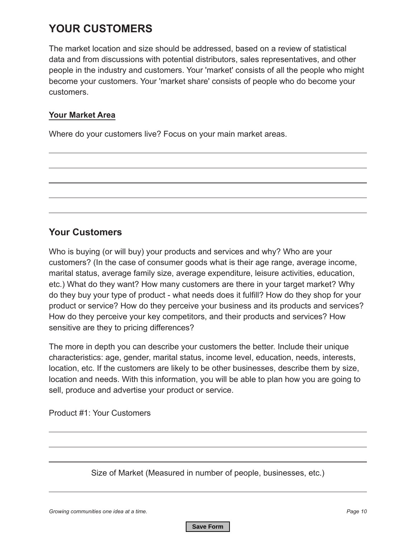## **YOUR CUSTOMERS**

The market location and size should be addressed, based on a review of statistical data and from discussions with potential distributors, sales representatives, and other people in the industry and customers. Your 'market' consists of all the people who might become your customers. Your 'market share' consists of people who do become your customers.

#### **Your Market Area**

Where do your customers live? Focus on your main market areas.

#### **Your Customers**

Who is buying (or will buy) your products and services and why? Who are your customers? (In the case of consumer goods what is their age range, average income, marital status, average family size, average expenditure, leisure activities, education, etc.) What do they want? How many customers are there in your target market? Why do they buy your type of product - what needs does it fulfill? How do they shop for your product or service? How do they perceive your business and its products and services? How do they perceive your key competitors, and their products and services? How sensitive are they to pricing differences?

The more in depth you can describe your customers the better. Include their unique characteristics: age, gender, marital status, income level, education, needs, interests, location, etc. If the customers are likely to be other businesses, describe them by size, location and needs. With this information, you will be able to plan how you are going to sell, produce and advertise your product or service.

Product #1: Your Customers

Size of Market (Measured in number of people, businesses, etc.)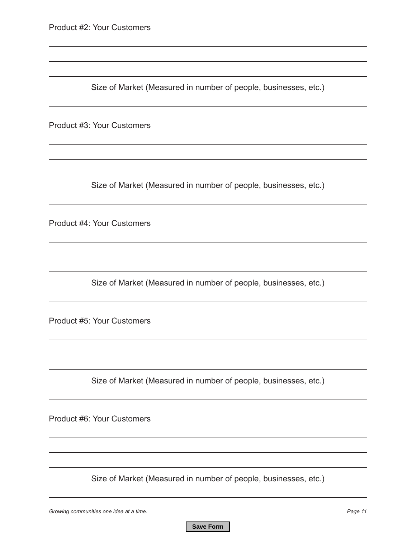Size of Market (Measured in number of people, businesses, etc.)

Product #3: Your Customers

Size of Market (Measured in number of people, businesses, etc.)

Product #4: Your Customers

Size of Market (Measured in number of people, businesses, etc.)

Product #5: Your Customers

Size of Market (Measured in number of people, businesses, etc.)

Product #6: Your Customers

Size of Market (Measured in number of people, businesses, etc.)

*Growing communities one idea at a time. Page 11*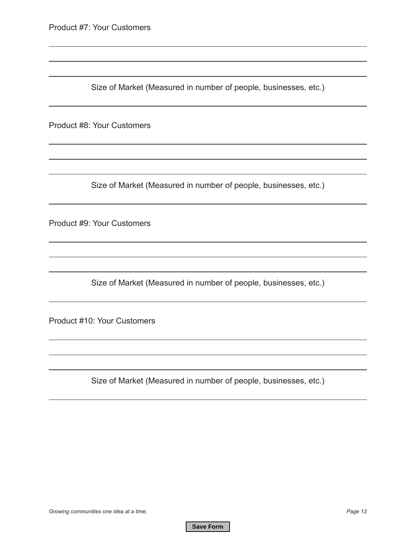Size of Market (Measured in number of people, businesses, etc.)

Product #8: Your Customers

Size of Market (Measured in number of people, businesses, etc.)

Product #9: Your Customers

Size of Market (Measured in number of people, businesses, etc.)

Product #10: Your Customers

Size of Market (Measured in number of people, businesses, etc.)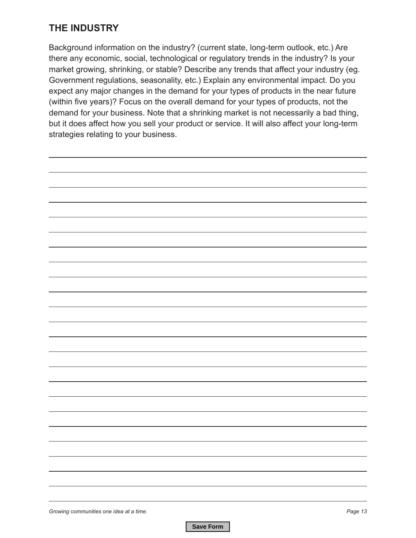## **THE INDUSTRY**

Background information on the industry? (current state, long-term outlook, etc.) Are there any economic, social, technological or regulatory trends in the industry? Is your market growing, shrinking, or stable? Describe any trends that affect your industry (eg. Government regulations, seasonality, etc.) Explain any environmental impact. Do you expect any major changes in the demand for your types of products in the near future (within five years)? Focus on the overall demand for your types of products, not the demand for your business. Note that a shrinking market is not necessarily a bad thing, but it does affect how you sell your product or service. It will also affect your long-term strategies relating to your business.

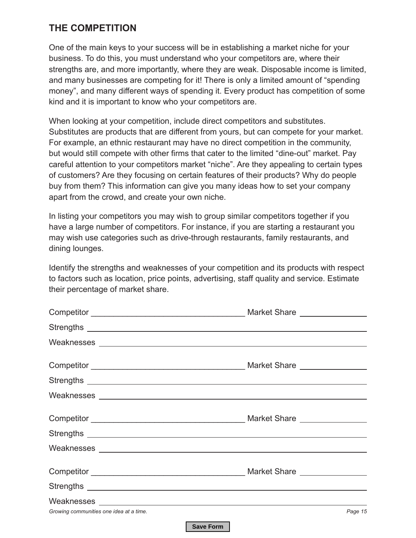### **THE COMPETITION**

One of the main keys to your success will be in establishing a market niche for your business. To do this, you must understand who your competitors are, where their strengths are, and more importantly, where they are weak. Disposable income is limited, and many businesses are competing for it! There is only a limited amount of "spending money", and many different ways of spending it. Every product has competition of some kind and it is important to know who your competitors are.

When looking at your competition, include direct competitors and substitutes. Substitutes are products that are different from yours, but can compete for your market. For example, an ethnic restaurant may have no direct competition in the community, but would still compete with other firms that cater to the limited "dine-out" market. Pay careful attention to your competitors market "niche". Are they appealing to certain types of customers? Are they focusing on certain features of their products? Why do people buy from them? This information can give you many ideas how to set your company apart from the crowd, and create your own niche.

In listing your competitors you may wish to group similar competitors together if you have a large number of competitors. For instance, if you are starting a restaurant you may wish use categories such as drive-through restaurants, family restaurants, and dining lounges.

Identify the strengths and weaknesses of your competition and its products with respect to factors such as location, price points, advertising, staff quality and service. Estimate their percentage of market share.

| Growing communities one idea at a time. | Page 15 |
|-----------------------------------------|---------|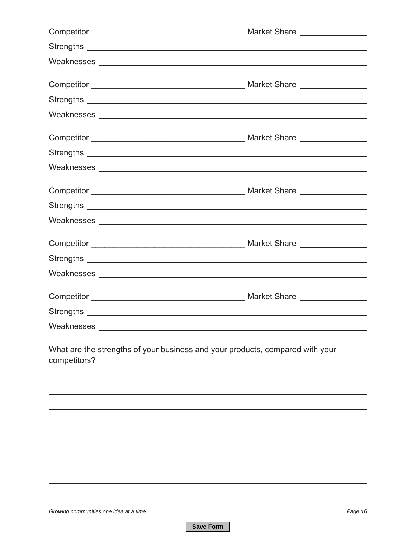| Weaknesses New York and the Charles Contract of the Charles Contract of the Charles Contract of the Charles Contract of the Charles Contract of the Charles Contract of the Charles Contract of the Charles Contract of the Ch |  |
|--------------------------------------------------------------------------------------------------------------------------------------------------------------------------------------------------------------------------------|--|
|                                                                                                                                                                                                                                |  |
|                                                                                                                                                                                                                                |  |
|                                                                                                                                                                                                                                |  |
|                                                                                                                                                                                                                                |  |
|                                                                                                                                                                                                                                |  |
|                                                                                                                                                                                                                                |  |
|                                                                                                                                                                                                                                |  |
|                                                                                                                                                                                                                                |  |
|                                                                                                                                                                                                                                |  |
| What are the strengths of your business and your products, compared with your<br>competitors?                                                                                                                                  |  |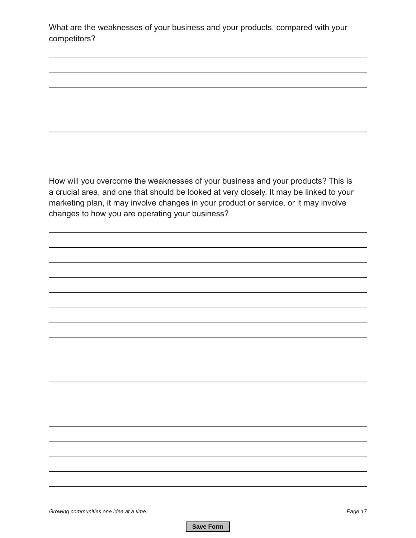What are the weaknesses of your business and your products, compared with your competitors?

How will you overcome the weaknesses of your business and your products? This is a crucial area, and one that should be looked at very closely. It may be linked to your marketing plan, it may involve changes in your product or service, or it may involve changes to how you are operating your business?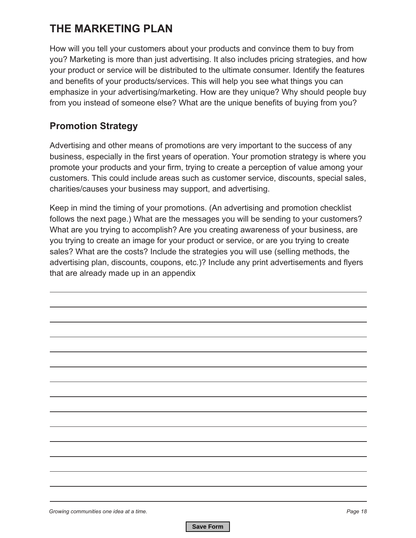## **THE MARKETING PLAN**

How will you tell your customers about your products and convince them to buy from you? Marketing is more than just advertising. It also includes pricing strategies, and how your product or service will be distributed to the ultimate consumer. Identify the features and benefits of your products/services. This will help you see what things you can emphasize in your advertising/marketing. How are they unique? Why should people buy from you instead of someone else? What are the unique benefits of buying from you?

## **Promotion Strategy**

Advertising and other means of promotions are very important to the success of any business, especially in the first years of operation. Your promotion strategy is where you promote your products and your firm, trying to create a perception of value among your customers. This could include areas such as customer service, discounts, special sales, charities/causes your business may support, and advertising.

Keep in mind the timing of your promotions. (An advertising and promotion checklist follows the next page.) What are the messages you will be sending to your customers? What are you trying to accomplish? Are you creating awareness of your business, are you trying to create an image for your product or service, or are you trying to create sales? What are the costs? Include the strategies you will use (selling methods, the advertising plan, discounts, coupons, etc.)? Include any print advertisements and flyers that are already made up in an appendix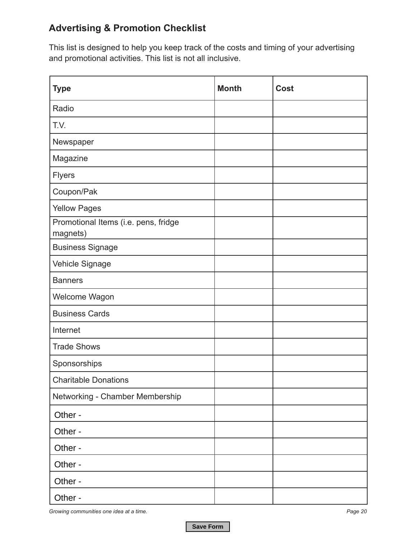## **Advertising & Promotion Checklist**

This list is designed to help you keep track of the costs and timing of your advertising and promotional activities. This list is not all inclusive.

| <b>Type</b>                                      | <b>Month</b> | <b>Cost</b> |
|--------------------------------------------------|--------------|-------------|
| Radio                                            |              |             |
| T.V.                                             |              |             |
| Newspaper                                        |              |             |
| Magazine                                         |              |             |
| <b>Flyers</b>                                    |              |             |
| Coupon/Pak                                       |              |             |
| <b>Yellow Pages</b>                              |              |             |
| Promotional Items (i.e. pens, fridge<br>magnets) |              |             |
| <b>Business Signage</b>                          |              |             |
| Vehicle Signage                                  |              |             |
| <b>Banners</b>                                   |              |             |
| Welcome Wagon                                    |              |             |
| <b>Business Cards</b>                            |              |             |
| Internet                                         |              |             |
| <b>Trade Shows</b>                               |              |             |
| Sponsorships                                     |              |             |
| <b>Charitable Donations</b>                      |              |             |
| Networking - Chamber Membership                  |              |             |
| Other -                                          |              |             |
| Other -                                          |              |             |
| Other -                                          |              |             |
| Other -                                          |              |             |
| Other -                                          |              |             |
| Other -                                          |              |             |

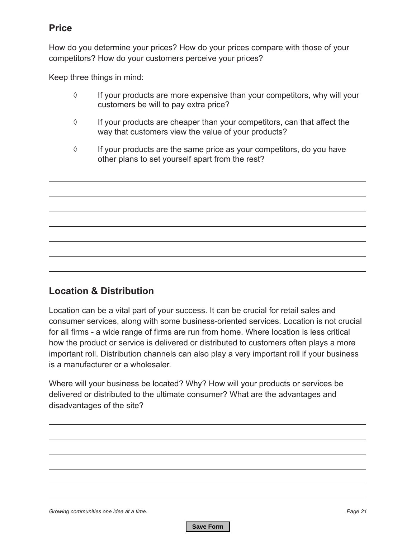#### **Price**

How do you determine your prices? How do your prices compare with those of your competitors? How do your customers perceive your prices?

Keep three things in mind:

- ◊ If your products are more expensive than your competitors, why will your customers be will to pay extra price?
- ◊ If your products are cheaper than your competitors, can that affect the way that customers view the value of your products?
- $\Diamond$  If your products are the same price as your competitors, do you have other plans to set yourself apart from the rest?

#### **Location & Distribution**

Location can be a vital part of your success. It can be crucial for retail sales and consumer services, along with some business-oriented services. Location is not crucial for all firms - a wide range of firms are run from home. Where location is less critical how the product or service is delivered or distributed to customers often plays a more important roll. Distribution channels can also play a very important roll if your business is a manufacturer or a wholesaler.

Where will your business be located? Why? How will your products or services be delivered or distributed to the ultimate consumer? What are the advantages and disadvantages of the site?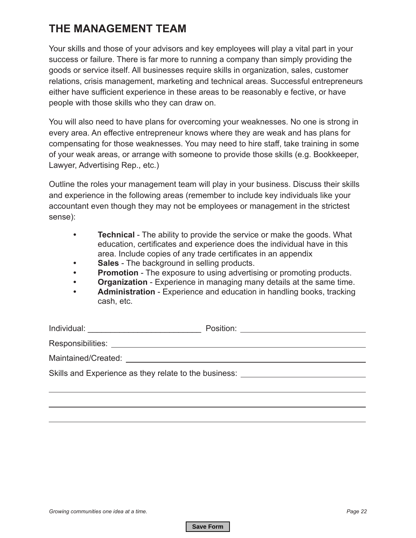## **THE MANAGEMENT TEAM**

Your skills and those of your advisors and key employees will play a vital part in your success or failure. There is far more to running a company than simply providing the goods or service itself. All businesses require skills in organization, sales, customer relations, crisis management, marketing and technical areas. Successful entrepreneurs either have sufficient experience in these areas to be reasonably e fective, or have people with those skills who they can draw on.

You will also need to have plans for overcoming your weaknesses. No one is strong in every area. An effective entrepreneur knows where they are weak and has plans for compensating for those weaknesses. You may need to hire staff, take training in some of your weak areas, or arrange with someone to provide those skills (e.g. Bookkeeper, Lawyer, Advertising Rep., etc.)

Outline the roles your management team will play in your business. Discuss their skills and experience in the following areas (remember to include key individuals like your accountant even though they may not be employees or management in the strictest sense):

- **• Technical**  The ability to provide the service or make the goods. What education, certificates and experience does the individual have in this area. Include copies of any trade certificates in an appendix
- **• Sales** The background in selling products.
- **• Promotion** The exposure to using advertising or promoting products.
- **• Organization** Experience in managing many details at the same time.
- **• Administration** Experience and education in handling books, tracking cash, etc.

|                                                                                  | Position: ________________________________ |
|----------------------------------------------------------------------------------|--------------------------------------------|
|                                                                                  |                                            |
|                                                                                  |                                            |
| Skills and Experience as they relate to the business: __________________________ |                                            |
|                                                                                  |                                            |
|                                                                                  |                                            |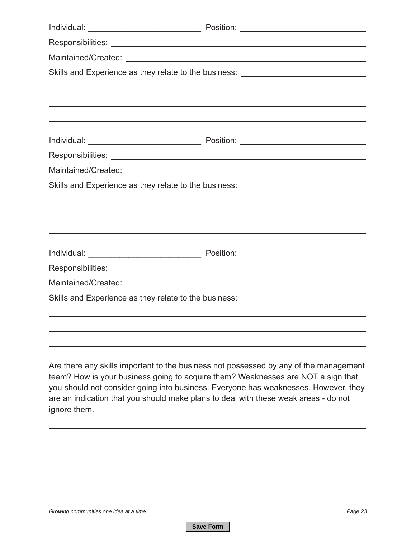|                                                                                                     | Skills and Experience as they relate to the business: __________________________                                                                                                                                                                                 |
|-----------------------------------------------------------------------------------------------------|------------------------------------------------------------------------------------------------------------------------------------------------------------------------------------------------------------------------------------------------------------------|
|                                                                                                     | ,我们也不会有什么。""我们的人,我们也不会有什么?""我们的人,我们也不会有什么?""我们的人,我们也不会有什么?""我们的人,我们也不会有什么?""我们的人                                                                                                                                                                                 |
|                                                                                                     |                                                                                                                                                                                                                                                                  |
|                                                                                                     |                                                                                                                                                                                                                                                                  |
|                                                                                                     |                                                                                                                                                                                                                                                                  |
|                                                                                                     |                                                                                                                                                                                                                                                                  |
|                                                                                                     |                                                                                                                                                                                                                                                                  |
|                                                                                                     | Skills and Experience as they relate to the business: __________________________                                                                                                                                                                                 |
|                                                                                                     |                                                                                                                                                                                                                                                                  |
|                                                                                                     | ,我们也不能会在这里,我们的人们也不能会在这里,我们也不能会在这里,我们也不能会在这里,我们也不能会在这里,我们也不能会在这里,我们也不能会不能会不能会。""我们                                                                                                                                                                                |
|                                                                                                     | ,我们也不会有什么。""我们的人,我们也不会有什么?""我们的人,我们也不会有什么?""我们的人,我们也不会有什么?""我们的人,我们也不会有什么?""我们的人                                                                                                                                                                                 |
|                                                                                                     |                                                                                                                                                                                                                                                                  |
|                                                                                                     |                                                                                                                                                                                                                                                                  |
|                                                                                                     |                                                                                                                                                                                                                                                                  |
|                                                                                                     | Skills and Experience as they relate to the business: __________________________                                                                                                                                                                                 |
|                                                                                                     |                                                                                                                                                                                                                                                                  |
|                                                                                                     |                                                                                                                                                                                                                                                                  |
|                                                                                                     |                                                                                                                                                                                                                                                                  |
| are an indication that you should make plans to deal with these weak areas - do not<br>ignore them. | Are there any skills important to the business not possessed by any of the management<br>team? How is your business going to acquire them? Weaknesses are NOT a sign that<br>you should not consider going into business. Everyone has weaknesses. However, they |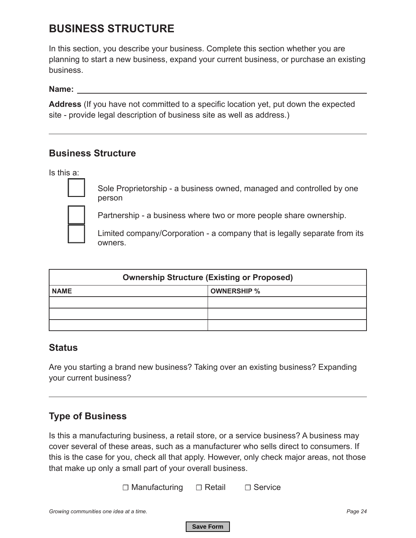## **BUSINESS STRUCTURE**

In this section, you describe your business. Complete this section whether you are planning to start a new business, expand your current business, or purchase an existing business.

**Name:**

**Address** (If you have not committed to a specific location yet, put down the expected site - provide legal description of business site as well as address.)

#### **Business Structure**

Is this a:



Sole Proprietorship - a business owned, managed and controlled by one person

Partnership - a business where two or more people share ownership.

Limited company/Corporation - a company that is legally separate from its owners.

| <b>Ownership Structure (Existing or Proposed)</b> |                    |  |  |  |  |  |  |  |
|---------------------------------------------------|--------------------|--|--|--|--|--|--|--|
| <b>NAME</b>                                       | <b>OWNERSHIP %</b> |  |  |  |  |  |  |  |
|                                                   |                    |  |  |  |  |  |  |  |
|                                                   |                    |  |  |  |  |  |  |  |
|                                                   |                    |  |  |  |  |  |  |  |

#### **Status**

Are you starting a brand new business? Taking over an existing business? Expanding your current business?

## **Type of Business**

Is this a manufacturing business, a retail store, or a service business? A business may cover several of these areas, such as a manufacturer who sells direct to consumers. If this is the case for you, check all that apply. However, only check major areas, not those that make up only a small part of your overall business.

☐ Manufacturing ☐ Retail ☐ Service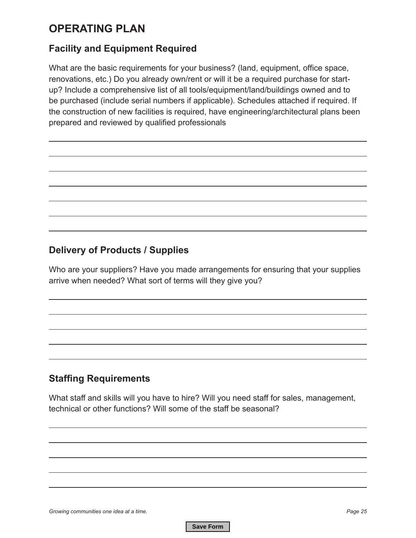## **OPERATING PLAN**

#### **Facility and Equipment Required**

What are the basic requirements for your business? (land, equipment, office space, renovations, etc.) Do you already own/rent or will it be a required purchase for startup? Include a comprehensive list of all tools/equipment/land/buildings owned and to be purchased (include serial numbers if applicable). Schedules attached if required. If the construction of new facilities is required, have engineering/architectural plans been prepared and reviewed by qualified professionals

### **Delivery of Products / Supplies**

Who are your suppliers? Have you made arrangements for ensuring that your supplies arrive when needed? What sort of terms will they give you?

## **Staffing Requirements**

What staff and skills will you have to hire? Will you need staff for sales, management, technical or other functions? Will some of the staff be seasonal?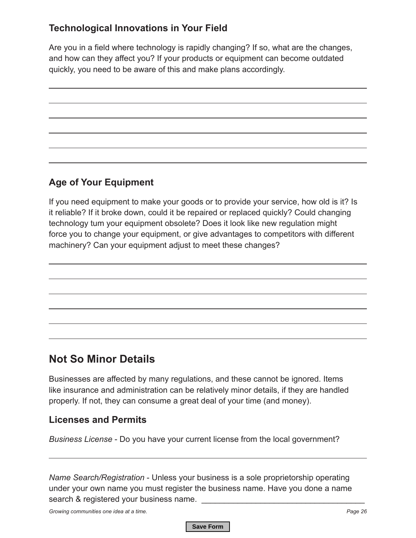## **Technological Innovations in Your Field**

Are you in a field where technology is rapidly changing? If so, what are the changes, and how can they affect you? If your products or equipment can become outdated quickly, you need to be aware of this and make plans accordingly.

## **Age of Your Equipment**

If you need equipment to make your goods or to provide your service, how old is it? Is it reliable? If it broke down, could it be repaired or replaced quickly? Could changing technology tum your equipment obsolete? Does it look like new regulation might force you to change your equipment, or give advantages to competitors with different machinery? Can your equipment adjust to meet these changes?

## **Not So Minor Details**

Businesses are affected by many regulations, and these cannot be ignored. Items like insurance and administration can be relatively minor details, if they are handled properly. If not, they can consume a great deal of your time (and money).

#### **Licenses and Permits**

*Business License* - Do you have your current license from the local government?

*Name Search/Registration* - Unless your business is a sole proprietorship operating under your own name you must register the business name. Have you done a name search & registered your business name.

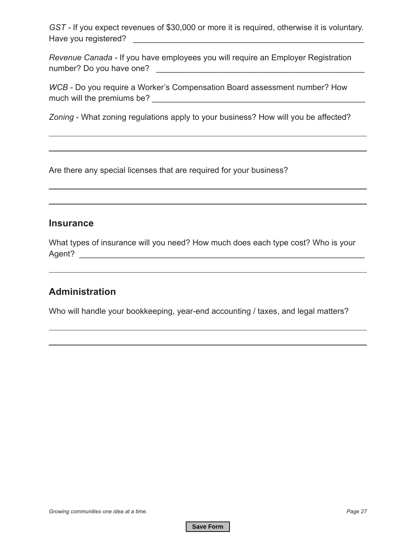*GST -* If you expect revenues of \$30,000 or more it is required, otherwise it is voluntary. Have you registered? \_\_\_\_\_\_\_\_\_\_\_\_\_\_\_\_\_\_\_\_\_\_\_\_\_\_\_\_\_\_\_\_\_\_\_\_\_\_\_\_\_\_\_\_\_\_\_\_\_\_\_

*Revenue Canada -* If you have employees you will require an Employer Registration number? Do you have one? \_\_\_\_\_\_\_\_\_\_\_\_\_\_\_\_\_\_\_\_\_\_\_\_\_\_\_\_\_\_\_\_\_\_\_\_\_\_\_\_\_\_\_\_\_\_

*WCB* - Do you require a Worker's Compensation Board assessment number? How much will the premiums be? \_\_\_\_\_\_\_\_\_\_\_\_\_\_\_\_\_\_\_\_\_\_\_\_\_\_\_\_\_\_\_\_\_\_\_\_\_\_\_\_\_\_\_\_\_\_\_

*Zoning* - What zoning regulations apply to your business? How will you be affected?

Are there any special licenses that are required for your business?

#### **Insurance**

What types of insurance will you need? How much does each type cost? Who is your Agent? \_\_\_\_\_\_\_\_\_\_\_\_\_\_\_\_\_\_\_\_\_\_\_\_\_\_\_\_\_\_\_\_\_\_\_\_\_\_\_\_\_\_\_\_\_\_\_\_\_\_\_\_\_\_\_\_\_\_\_\_\_\_\_

#### **Administration**

Who will handle your bookkeeping, year-end accounting / taxes, and legal matters?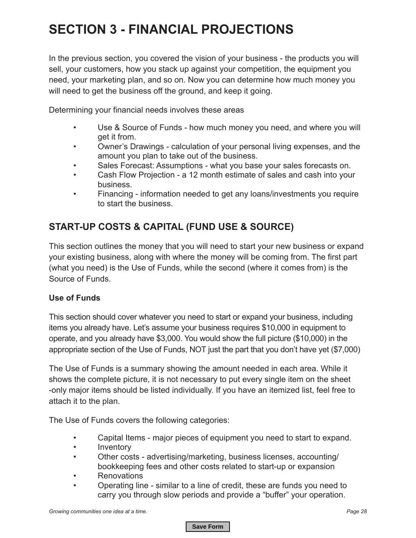# **SECTION 3 - FINANCIAL PROJECTIONS**

In the previous section, you covered the vision of your business - the products you will sell, your customers, how you stack up against your competition, the equipment you need, your marketing plan, and so on. Now you can determine how much money you will need to get the business off the ground, and keep it going.

Determining your financial needs involves these areas

- Use & Source of Funds how much money you need, and where you will get it from.
- Owner's Drawings calculation of your personal living expenses, and the amount you plan to take out of the business.
- Sales Forecast: Assumptions what you base your sales forecasts on.
- Cash Flow Projection a 12 month estimate of sales and cash into your business.
- Financing information needed to get any loans/investments you require to start the business.

## **START-UP COSTS & CAPITAL (FUND USE & SOURCE)**

This section outlines the money that you will need to start your new business or expand your existing business, along with where the money will be coming from. The first part (what you need) is the Use of Funds, while the second (where it comes from) is the Source of Funds.

#### **Use of Funds**

This section should cover whatever you need to start or expand your business, including items you already have. Let's assume your business requires \$10,000 in equipment to operate, and you already have \$3,000. You would show the full picture (\$10,000) in the appropriate section of the Use of Funds, NOT just the part that you don't have yet (\$7,000)

The Use of Funds is a summary showing the amount needed in each area. While it shows the complete picture, it is not necessary to put every single item on the sheet -only major items should be listed individually. If you have an itemized list, feel free to attach it to the plan.

The Use of Funds covers the following categories:

- Capital Items major pieces of equipment you need to start to expand.
- Inventory
- Other costs advertising/marketing, business licenses, accounting/ bookkeeping fees and other costs related to start-up or expansion
- Renovations
- Operating line similar to a line of credit, these are funds you need to carry you through slow periods and provide a "buffer" your operation.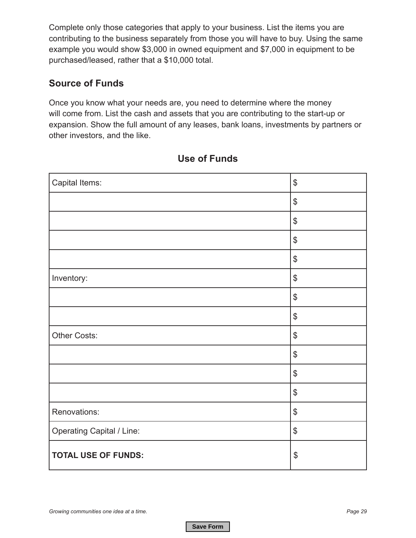Complete only those categories that apply to your business. List the items you are contributing to the business separately from those you will have to buy. Using the same example you would show \$3,000 in owned equipment and \$7,000 in equipment to be purchased/leased, rather that a \$10,000 total.

### **Source of Funds**

Once you know what your needs are, you need to determine where the money will come from. List the cash and assets that you are contributing to the start-up or expansion. Show the full amount of any leases, bank loans, investments by partners or other investors, and the like.

| Capital Items:                   | $\, \, \raisebox{12pt}{$\scriptstyle \circ$}$ |
|----------------------------------|-----------------------------------------------|
|                                  | $\, \, \raisebox{12pt}{$\scriptstyle \$}$     |
|                                  | $\, \, \raisebox{12pt}{$\scriptstyle \$}$     |
|                                  | $\, \, \raisebox{12pt}{$\scriptstyle \$}$     |
|                                  | $\, \, \raisebox{12pt}{$\scriptstyle \$}$     |
| Inventory:                       | $\, \, \raisebox{12pt}{$\scriptstyle \$}$     |
|                                  | $\, \, \raisebox{12pt}{$\scriptstyle \$}$     |
|                                  | $\, \, \raisebox{12pt}{$\scriptstyle \circ$}$ |
| Other Costs:                     | $\, \, \raisebox{12pt}{$\scriptstyle \$}$     |
|                                  | $\, \, \raisebox{12pt}{$\scriptstyle \circ$}$ |
|                                  | $\boldsymbol{\mathsf{S}}$                     |
|                                  | $\, \, \raisebox{12pt}{$\scriptstyle \circ$}$ |
| Renovations:                     | $\, \, \raisebox{12pt}{$\scriptstyle \$}$     |
| <b>Operating Capital / Line:</b> | $\, \, \raisebox{12pt}{$\scriptstyle \$}$     |
| <b>TOTAL USE OF FUNDS:</b>       | $\boldsymbol{\mathsf{\$}}$                    |

### **Use of Funds**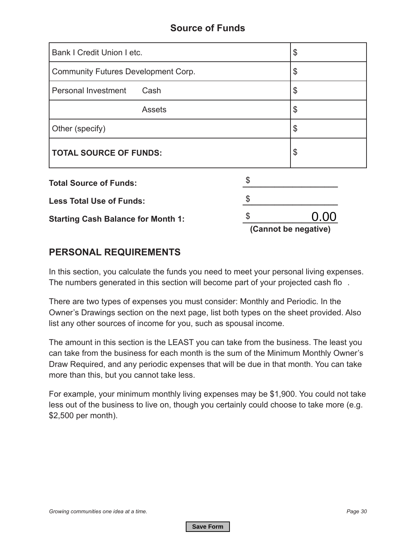#### **Source of Funds**

| Bank I Credit Union I etc.<br>\$                 |  |                           |  |  |  |  |
|--------------------------------------------------|--|---------------------------|--|--|--|--|
| <b>Community Futures Development Corp.</b><br>\$ |  |                           |  |  |  |  |
| Personal Investment<br>Cash                      |  | \$                        |  |  |  |  |
| <b>Assets</b>                                    |  | \$                        |  |  |  |  |
| Other (specify)                                  |  | $\frac{1}{2}$             |  |  |  |  |
| <b>TOTAL SOURCE OF FUNDS:</b>                    |  | $\boldsymbol{\mathsf{S}}$ |  |  |  |  |
| <b>Total Source of Funds:</b>                    |  |                           |  |  |  |  |
| <b>Less Total Use of Funds:</b>                  |  |                           |  |  |  |  |
| <b>Starting Cash Balance for Month 1:</b>        |  | 0.00                      |  |  |  |  |
|                                                  |  | (Cannot be negative)      |  |  |  |  |

#### **PERSONAL REQUIREMENTS**

In this section, you calculate the funds you need to meet your personal living expenses. The numbers generated in this section will become part of your projected cash flo .

There are two types of expenses you must consider: Monthly and Periodic. In the Owner's Drawings section on the next page, list both types on the sheet provided. Also list any other sources of income for you, such as spousal income.

The amount in this section is the LEAST you can take from the business. The least you can take from the business for each month is the sum of the Minimum Monthly Owner's Draw Required, and any periodic expenses that will be due in that month. You can take more than this, but you cannot take less.

For example, your minimum monthly living expenses may be \$1,900. You could not take less out of the business to live on, though you certainly could choose to take more (e.g. \$2,500 per month).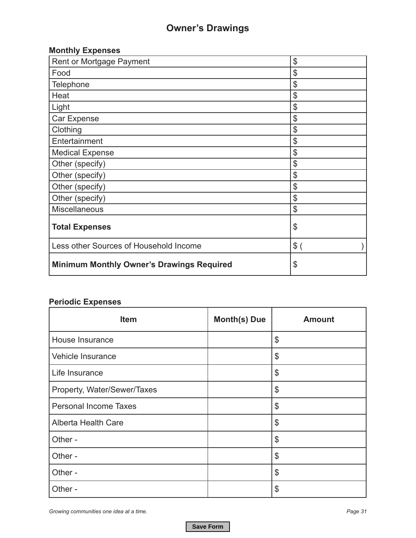## **Owner's Drawings**

## **Monthly Expenses**

| Rent or Mortgage Payment                         | $\frac{1}{2}$              |
|--------------------------------------------------|----------------------------|
| Food                                             | \$                         |
| Telephone                                        | \$                         |
| Heat                                             | \$                         |
| Light                                            | \$                         |
| Car Expense                                      | \$                         |
| Clothing                                         | \$                         |
| Entertainment                                    | \$                         |
| <b>Medical Expense</b>                           | \$                         |
| Other (specify)                                  | \$                         |
| Other (specify)                                  | \$                         |
| Other (specify)                                  | \$                         |
| Other (specify)                                  | \$                         |
| <b>Miscellaneous</b>                             | $\boldsymbol{\mathsf{S}}$  |
| <b>Total Expenses</b>                            | $\boldsymbol{\mathcal{S}}$ |
| Less other Sources of Household Income           | $$^{(})$                   |
| <b>Minimum Monthly Owner's Drawings Required</b> | \$                         |

#### **Periodic Expenses**

| <b>Item</b>                  | <b>Month(s) Due</b> | <b>Amount</b>              |
|------------------------------|---------------------|----------------------------|
| House Insurance              |                     | \$                         |
| Vehicle Insurance            |                     | \$                         |
| Life Insurance               |                     | \$                         |
| Property, Water/Sewer/Taxes  |                     | \$                         |
| <b>Personal Income Taxes</b> |                     | \$                         |
| Alberta Health Care          |                     | \$                         |
| Other -                      |                     | $\boldsymbol{\mathcal{S}}$ |
| Other -                      |                     | $\boldsymbol{\mathcal{S}}$ |
| Other -                      |                     | \$                         |
| Other -                      |                     | \$                         |

*Growing communities one idea at a time. Page 31*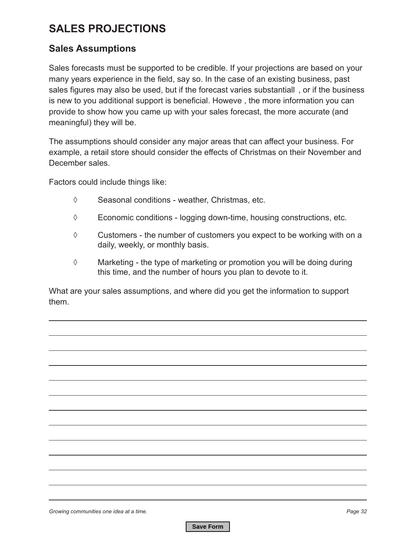## **SALES PROJECTIONS**

#### **Sales Assumptions**

Sales forecasts must be supported to be credible. If your projections are based on your many years experience in the field, say so. In the case of an existing business, past sales figures may also be used, but if the forecast varies substantiall , or if the business is new to you additional support is beneficial. Howeve , the more information you can provide to show how you came up with your sales forecast, the more accurate (and meaningful) they will be.

The assumptions should consider any major areas that can affect your business. For example, a retail store should consider the effects of Christmas on their November and December sales.

Factors could include things like:

- ◊ Seasonal conditions weather, Christmas, etc.
- ◊ Economic conditions logging down-time, housing constructions, etc.
- ◊ Customers the number of customers you expect to be working with on a daily, weekly, or monthly basis.
- ◊ Marketing the type of marketing or promotion you will be doing during this time, and the number of hours you plan to devote to it.

What are your sales assumptions, and where did you get the information to support them.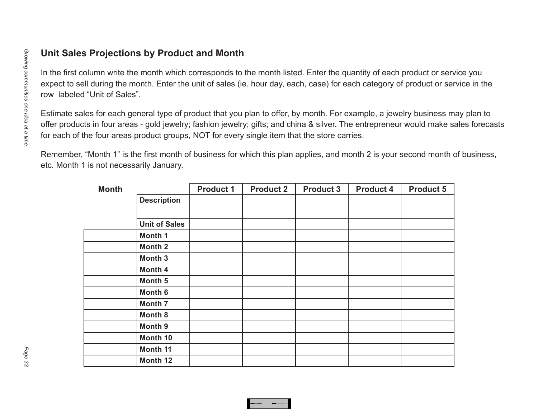| Unit Sales Projections by Product and Month                                                                                                                                                                                                                                                                                                  |                                                                                                                                                                                                                                                                                                                                                                       |                                          |                                                                                                                               |                  |                  |                  |                  |                  |  |  |  |
|----------------------------------------------------------------------------------------------------------------------------------------------------------------------------------------------------------------------------------------------------------------------------------------------------------------------------------------------|-----------------------------------------------------------------------------------------------------------------------------------------------------------------------------------------------------------------------------------------------------------------------------------------------------------------------------------------------------------------------|------------------------------------------|-------------------------------------------------------------------------------------------------------------------------------|------------------|------------------|------------------|------------------|------------------|--|--|--|
| Growing communities one idea at a time<br>In the first column write the month which corresponds to the month listed. Enter the quantity of each product or service you<br>expect to sell during the month. Enter the unit of sales (ie. hour day, each, case) for each category of product or service in the<br>row labeled "Unit of Sales". |                                                                                                                                                                                                                                                                                                                                                                       |                                          |                                                                                                                               |                  |                  |                  |                  |                  |  |  |  |
|                                                                                                                                                                                                                                                                                                                                              | Estimate sales for each general type of product that you plan to offer, by month. For example, a jewelry business may plan to<br>offer products in four areas - gold jewelry; fashion jewelry; gifts; and china & silver. The entrepreneur would make sales forecasts<br>for each of the four areas product groups, NOT for every single item that the store carries. |                                          |                                                                                                                               |                  |                  |                  |                  |                  |  |  |  |
|                                                                                                                                                                                                                                                                                                                                              |                                                                                                                                                                                                                                                                                                                                                                       | etc. Month 1 is not necessarily January. | Remember, "Month 1" is the first month of business for which this plan applies, and month 2 is your second month of business, |                  |                  |                  |                  |                  |  |  |  |
|                                                                                                                                                                                                                                                                                                                                              |                                                                                                                                                                                                                                                                                                                                                                       | <b>Month</b>                             |                                                                                                                               | <b>Product 1</b> | <b>Product 2</b> | <b>Product 3</b> | <b>Product 4</b> | <b>Product 5</b> |  |  |  |
|                                                                                                                                                                                                                                                                                                                                              |                                                                                                                                                                                                                                                                                                                                                                       |                                          | <b>Description</b>                                                                                                            |                  |                  |                  |                  |                  |  |  |  |
|                                                                                                                                                                                                                                                                                                                                              |                                                                                                                                                                                                                                                                                                                                                                       |                                          | <b>Unit of Sales</b>                                                                                                          |                  |                  |                  |                  |                  |  |  |  |
|                                                                                                                                                                                                                                                                                                                                              |                                                                                                                                                                                                                                                                                                                                                                       |                                          | Month 1                                                                                                                       |                  |                  |                  |                  |                  |  |  |  |
|                                                                                                                                                                                                                                                                                                                                              |                                                                                                                                                                                                                                                                                                                                                                       |                                          | <b>Month 2</b>                                                                                                                |                  |                  |                  |                  |                  |  |  |  |
|                                                                                                                                                                                                                                                                                                                                              |                                                                                                                                                                                                                                                                                                                                                                       |                                          | <b>Month 3</b>                                                                                                                |                  |                  |                  |                  |                  |  |  |  |
|                                                                                                                                                                                                                                                                                                                                              |                                                                                                                                                                                                                                                                                                                                                                       |                                          | Month 4                                                                                                                       |                  |                  |                  |                  |                  |  |  |  |
|                                                                                                                                                                                                                                                                                                                                              |                                                                                                                                                                                                                                                                                                                                                                       |                                          | Month 5                                                                                                                       |                  |                  |                  |                  |                  |  |  |  |
|                                                                                                                                                                                                                                                                                                                                              |                                                                                                                                                                                                                                                                                                                                                                       |                                          | Month 6                                                                                                                       |                  |                  |                  |                  |                  |  |  |  |
|                                                                                                                                                                                                                                                                                                                                              |                                                                                                                                                                                                                                                                                                                                                                       |                                          | <b>Month 7</b>                                                                                                                |                  |                  |                  |                  |                  |  |  |  |
|                                                                                                                                                                                                                                                                                                                                              |                                                                                                                                                                                                                                                                                                                                                                       |                                          | <b>Month 8</b>                                                                                                                |                  |                  |                  |                  |                  |  |  |  |
|                                                                                                                                                                                                                                                                                                                                              |                                                                                                                                                                                                                                                                                                                                                                       |                                          | Month 9                                                                                                                       |                  |                  |                  |                  |                  |  |  |  |
|                                                                                                                                                                                                                                                                                                                                              |                                                                                                                                                                                                                                                                                                                                                                       |                                          | Month 10                                                                                                                      |                  |                  |                  |                  |                  |  |  |  |
| Page                                                                                                                                                                                                                                                                                                                                         |                                                                                                                                                                                                                                                                                                                                                                       |                                          | Month 11                                                                                                                      |                  |                  |                  |                  |                  |  |  |  |
| တ္ထ                                                                                                                                                                                                                                                                                                                                          |                                                                                                                                                                                                                                                                                                                                                                       |                                          | Month 12                                                                                                                      |                  |                  |                  |                  |                  |  |  |  |

**Save Formal Accounts of the Contract of the Contract of the Contract of the Contract of the Contract of the Contract of the Contract of the Contract of the Contract of the Contract of the Contract of the Contract of the C**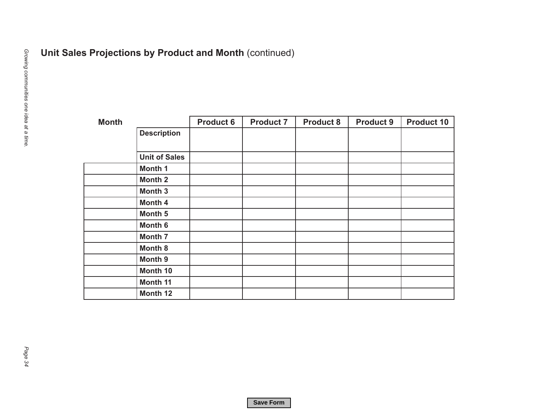| <b>Month</b> |                      | <b>Product 6</b> | <b>Product 7</b> | <b>Product 8</b> | <b>Product 9</b> |
|--------------|----------------------|------------------|------------------|------------------|------------------|
|              | <b>Description</b>   |                  |                  |                  |                  |
|              | <b>Unit of Sales</b> |                  |                  |                  |                  |
|              | Month 1              |                  |                  |                  |                  |
|              | Month <sub>2</sub>   |                  |                  |                  |                  |
|              | Month 3              |                  |                  |                  |                  |
|              | Month 4              |                  |                  |                  |                  |
|              | Month 5              |                  |                  |                  |                  |
|              | Month 6              |                  |                  |                  |                  |
|              | Month 7              |                  |                  |                  |                  |
|              | Month 8              |                  |                  |                  |                  |
|              | Month 9              |                  |                  |                  |                  |
|              | Month 10             |                  |                  |                  |                  |
|              | Month 11             |                  |                  |                  |                  |
|              | Month 12             |                  |                  |                  |                  |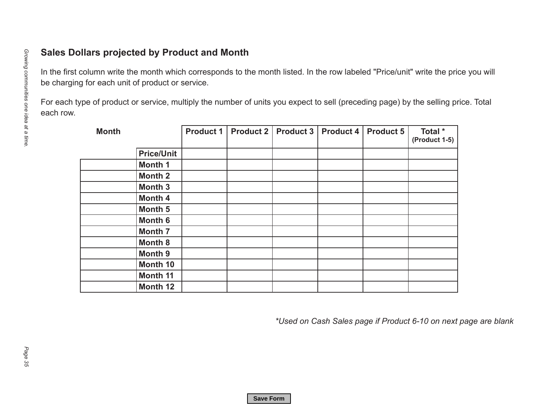| <b>Month</b> |                    | <b>Product 1</b> | Product 2 | Product 3 | <b>Product 4</b> | <b>Product 5</b> | Total *<br>(Product 1-5) |
|--------------|--------------------|------------------|-----------|-----------|------------------|------------------|--------------------------|
|              | <b>Price/Unit</b>  |                  |           |           |                  |                  |                          |
|              | Month 1            |                  |           |           |                  |                  |                          |
|              | Month <sub>2</sub> |                  |           |           |                  |                  |                          |
|              | Month <sub>3</sub> |                  |           |           |                  |                  |                          |
|              | Month 4            |                  |           |           |                  |                  |                          |
|              | Month 5            |                  |           |           |                  |                  |                          |
|              | Month 6            |                  |           |           |                  |                  |                          |
|              | <b>Month 7</b>     |                  |           |           |                  |                  |                          |
|              | Month 8            |                  |           |           |                  |                  |                          |
|              | Month 9            |                  |           |           |                  |                  |                          |
|              | Month 10           |                  |           |           |                  |                  |                          |
|              | <b>Month 11</b>    |                  |           |           |                  |                  |                          |
|              | Month 12           |                  |           |           |                  |                  |                          |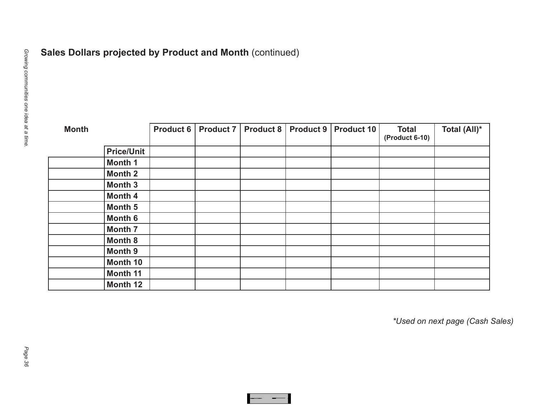| <b>Month</b> |                   | <b>Product 6</b> | <b>Product 7</b> | <b>Product 8</b> | <b>Product 9</b> | Product 10 | <b>Total</b><br>(Product 6-10) | Total (All)* |
|--------------|-------------------|------------------|------------------|------------------|------------------|------------|--------------------------------|--------------|
|              | <b>Price/Unit</b> |                  |                  |                  |                  |            |                                |              |
|              | Month 1           |                  |                  |                  |                  |            |                                |              |
|              | <b>Month 2</b>    |                  |                  |                  |                  |            |                                |              |
|              | Month 3           |                  |                  |                  |                  |            |                                |              |
|              | Month 4           |                  |                  |                  |                  |            |                                |              |
|              | Month 5           |                  |                  |                  |                  |            |                                |              |
|              | Month 6           |                  |                  |                  |                  |            |                                |              |
|              | Month 7           |                  |                  |                  |                  |            |                                |              |
|              | Month 8           |                  |                  |                  |                  |            |                                |              |
|              | <b>Month 9</b>    |                  |                  |                  |                  |            |                                |              |
|              | Month 10          |                  |                  |                  |                  |            |                                |              |
|              | Month 11          |                  |                  |                  |                  |            |                                |              |
|              | Month 12          |                  |                  |                  |                  |            |                                |              |

**Save Format Format Format Format Format Format Format Format Format Format Format Format Format Format Format**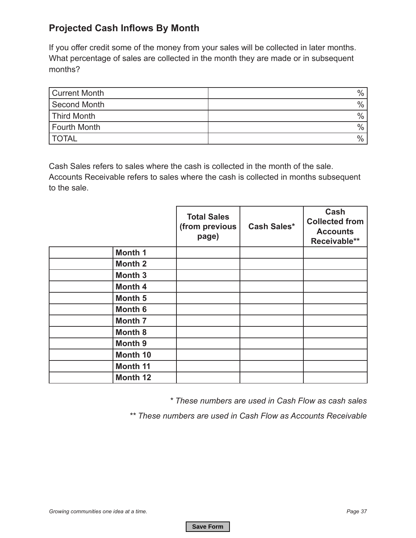### **Projected Cash Inflows By Month**

If you offer credit some of the money from your sales will be collected in later months. What percentage of sales are collected in the month they are made or in subsequent months?

| Current Month | $\%$          |
|---------------|---------------|
| Second Month  | $\%$          |
| Third Month   | $\frac{0}{0}$ |
| Fourth Month  | $\%$          |
| <b>TOTAL</b>  | $\frac{0}{0}$ |

Cash Sales refers to sales where the cash is collected in the month of the sale. Accounts Receivable refers to sales where the cash is collected in months subsequent to the sale.

|                    | <b>Total Sales</b><br>(from previous<br>page) | <b>Cash Sales*</b> | Cash<br><b>Collected from</b><br><b>Accounts</b><br>Receivable** |
|--------------------|-----------------------------------------------|--------------------|------------------------------------------------------------------|
| Month 1            |                                               |                    |                                                                  |
| <b>Month 2</b>     |                                               |                    |                                                                  |
| <b>Month 3</b>     |                                               |                    |                                                                  |
| <b>Month 4</b>     |                                               |                    |                                                                  |
| Month 5            |                                               |                    |                                                                  |
| Month <sub>6</sub> |                                               |                    |                                                                  |
| <b>Month 7</b>     |                                               |                    |                                                                  |
| <b>Month 8</b>     |                                               |                    |                                                                  |
| <b>Month 9</b>     |                                               |                    |                                                                  |
| Month 10           |                                               |                    |                                                                  |
| <b>Month 11</b>    |                                               |                    |                                                                  |
| Month 12           |                                               |                    |                                                                  |

*\* These numbers are used in Cash Flow as cash sales*

*\*\* These numbers are used in Cash Flow as Accounts Receivable*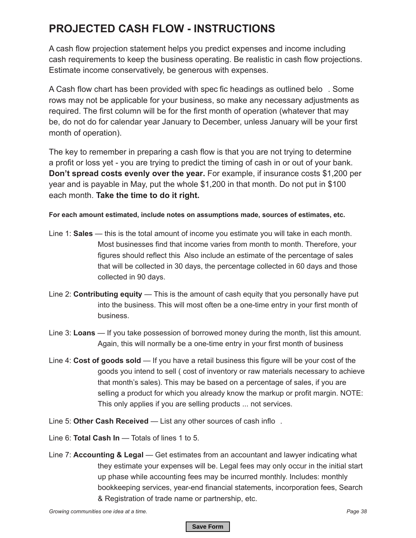## **PROJECTED CASH FLOW - INSTRUCTIONS**

A cash flow projection statement helps you predict expenses and income including cash requirements to keep the business operating. Be realistic in cash flow projections. Estimate income conservatively, be generous with expenses.

A Cash flow chart has been provided with spec fic headings as outlined belo . Some rows may not be applicable for your business, so make any necessary adjustments as required. The first column will be for the first month of operation (whatever that may be, do not do for calendar year January to December, unless January will be your first month of operation).

The key to remember in preparing a cash flow is that you are not trying to determine a profit or loss yet - you are trying to predict the timing of cash in or out of your bank. **Don't spread costs evenly over the year.** For example, if insurance costs \$1,200 per year and is payable in May, put the whole \$1,200 in that month. Do not put in \$100 each month. **Take the time to do it right.**

#### **For each amount estimated, include notes on assumptions made, sources of estimates, etc.**

- Line 1: **Sales** this is the total amount of income you estimate you will take in each month. Most businesses find that income varies from month to month. Therefore, your figures should reflect this Also include an estimate of the percentage of sales that will be collected in 30 days, the percentage collected in 60 days and those collected in 90 days.
- Line 2: **Contributing equity** This is the amount of cash equity that you personally have put into the business. This will most often be a one-time entry in your first month of business.
- Line 3: **Loans** If you take possession of borrowed money during the month, list this amount. Again, this will normally be a one-time entry in your first month of business
- Line 4: **Cost of goods sold**  If you have a retail business this figure will be your cost of the goods you intend to sell ( cost of inventory or raw materials necessary to achieve that month's sales). This may be based on a percentage of sales, if you are selling a product for which you already know the markup or profit margin. NOTE: This only applies if you are selling products ... not services.
- Line 5: **Other Cash Received** List any other sources of cash inflo .
- Line 6: **Total Cash In** Totals of lines 1 to 5.
- Line 7: **Accounting & Legal** Get estimates from an accountant and lawyer indicating what they estimate your expenses will be. Legal fees may only occur in the initial start up phase while accounting fees may be incurred monthly. Includes: monthly bookkeeping services, year-end financial statements, incorporation fees, Search & Registration of trade name or partnership, etc.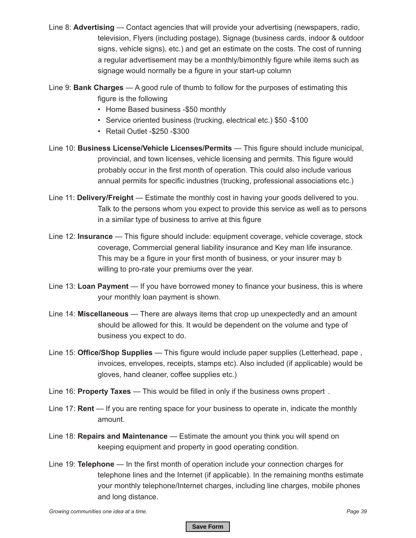Line 8: **Advertising** — Contact agencies that will provide your advertising (newspapers, radio, television, Flyers (including postage), Signage (business cards, indoor & outdoor signs, vehicle signs), etc.) and get an estimate on the costs. The cost of running a regular advertisement may be a monthly/bimonthly figure while items such as signage would normally be a figure in your start-up column

Line 9: **Bank Charges** — A good rule of thumb to follow for the purposes of estimating this figure is the following

- Home Based business -\$50 monthly
- Service oriented business (trucking, electrical etc.) \$50 -\$100
- Retail Outlet -\$250 -\$300
- Line 10: **Business License/Vehicle Licenses/Permits** This figure should include municipal, provincial, and town licenses, vehicle licensing and permits. This figure would probably occur in the first month of operation. This could also include various annual permits for specific industries (trucking, professional associations etc.)
- Line 11: **Delivery/Freight** Estimate the monthly cost in having your goods delivered to you. Talk to the persons whom you expect to provide this service as well as to persons in a similar type of business to arrive at this figure
- Line 12: **Insurance** This figure should include: equipment coverage, vehicle coverage, stock coverage, Commercial general liability insurance and Key man life insurance. This may be a figure in your first month of business, or your insurer may b willing to pro-rate your premiums over the year.
- Line 13: **Loan Payment** If you have borrowed money to finance your business, this is where your monthly loan payment is shown.
- Line 14: **Miscellaneous** There are always items that crop up unexpectedly and an amount should be allowed for this. It would be dependent on the volume and type of business you expect to do.
- Line 15: **Office/Shop Supplies** This figure would include paper supplies (Letterhead, pape , invoices, envelopes, receipts, stamps etc). Also included (if applicable) would be gloves, hand cleaner, coffee supplies etc.)
- Line 16: **Property Taxes** This would be filled in only if the business owns propert .
- Line 17: **Rent** If you are renting space for your business to operate in, indicate the monthly amount.
- Line 18: **Repairs and Maintenance** Estimate the amount you think you will spend on keeping equipment and property in good operating condition.
- Line 19: **Telephone** In the first month of operation include your connection charges for telephone lines and the Internet (if applicable). In the remaining months estimate your monthly telephone/Internet charges, including line charges, mobile phones and long distance.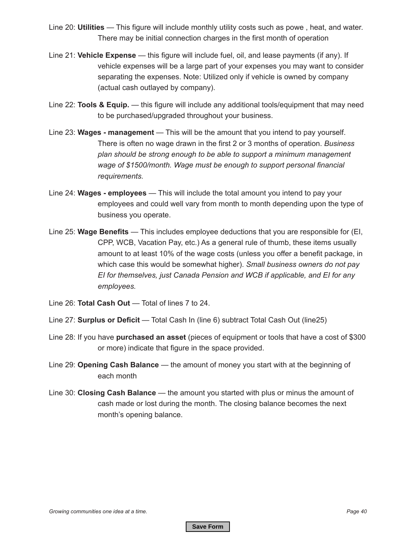- Line 20: **Utilities** This figure will include monthly utility costs such as powe , heat, and water. There may be initial connection charges in the first month of operation
- Line 21: **Vehicle Expense** this figure will include fuel, oil, and lease payments (if any). If vehicle expenses will be a large part of your expenses you may want to consider separating the expenses. Note: Utilized only if vehicle is owned by company (actual cash outlayed by company).
- Line 22: **Tools & Equip.** this figure will include any additional tools/equipment that may need to be purchased/upgraded throughout your business.
- Line 23: **Wages management** This will be the amount that you intend to pay yourself. There is often no wage drawn in the first 2 or 3 months of operation. *Business plan should be strong enough to be able to support a minimum management wage of \$1500/month. Wage must be enough to support personal financial requirements.*
- Line 24: **Wages employees** This will include the total amount you intend to pay your employees and could well vary from month to month depending upon the type of business you operate.
- Line 25: **Wage Benefits** This includes employee deductions that you are responsible for (EI, CPP, WCB, Vacation Pay, etc.) As a general rule of thumb, these items usually amount to at least 10% of the wage costs (unless you offer a benefit package, in which case this would be somewhat higher). *Small business owners do not pay EI for themselves, just Canada Pension and WCB if applicable, and EI for any employees.*
- Line 26: **Total Cash Out** Total of lines 7 to 24.
- Line 27: **Surplus or Deficit** Total Cash In (line 6) subtract Total Cash Out (line25)
- Line 28: If you have **purchased an asset** (pieces of equipment or tools that have a cost of \$300 or more) indicate that figure in the space provided.
- Line 29: **Opening Cash Balance** the amount of money you start with at the beginning of each month
- Line 30: **Closing Cash Balance** the amount you started with plus or minus the amount of cash made or lost during the month. The closing balance becomes the next month's opening balance.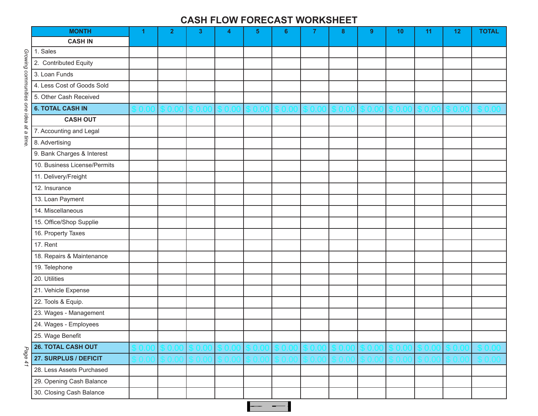#### **CASH FLOW FORECAST WORKSHEET**

|                                         | <b>MONTH</b>                 | 1 | $\overline{2}$ | $\mathbf{3}$ | 4 | $5\phantom{.0}$ | 6 | $\overline{7}$ | 8 | $9^{\circ}$ | 10 | 11 | 12 | <b>TOTAL</b> |
|-----------------------------------------|------------------------------|---|----------------|--------------|---|-----------------|---|----------------|---|-------------|----|----|----|--------------|
|                                         | <b>CASH IN</b>               |   |                |              |   |                 |   |                |   |             |    |    |    |              |
|                                         | 1. Sales                     |   |                |              |   |                 |   |                |   |             |    |    |    |              |
|                                         | 2. Contributed Equity        |   |                |              |   |                 |   |                |   |             |    |    |    |              |
|                                         | 3. Loan Funds                |   |                |              |   |                 |   |                |   |             |    |    |    |              |
|                                         | 4. Less Cost of Goods Sold   |   |                |              |   |                 |   |                |   |             |    |    |    |              |
|                                         | 5. Other Cash Received       |   |                |              |   |                 |   |                |   |             |    |    |    |              |
|                                         | <b>6. TOTAL CASH IN</b>      |   |                |              |   |                 |   |                |   |             |    |    |    |              |
|                                         | <b>CASH OUT</b>              |   |                |              |   |                 |   |                |   |             |    |    |    |              |
| Growing communities one idea at a time. | 7. Accounting and Legal      |   |                |              |   |                 |   |                |   |             |    |    |    |              |
|                                         | 8. Advertising               |   |                |              |   |                 |   |                |   |             |    |    |    |              |
|                                         | 9. Bank Charges & Interest   |   |                |              |   |                 |   |                |   |             |    |    |    |              |
|                                         | 10. Business License/Permits |   |                |              |   |                 |   |                |   |             |    |    |    |              |
|                                         | 11. Delivery/Freight         |   |                |              |   |                 |   |                |   |             |    |    |    |              |
|                                         | 12. Insurance                |   |                |              |   |                 |   |                |   |             |    |    |    |              |
|                                         | 13. Loan Payment             |   |                |              |   |                 |   |                |   |             |    |    |    |              |
|                                         | 14. Miscellaneous            |   |                |              |   |                 |   |                |   |             |    |    |    |              |
|                                         | 15. Office/Shop Supplie      |   |                |              |   |                 |   |                |   |             |    |    |    |              |
|                                         | 16. Property Taxes           |   |                |              |   |                 |   |                |   |             |    |    |    |              |
|                                         | 17. Rent                     |   |                |              |   |                 |   |                |   |             |    |    |    |              |
|                                         | 18. Repairs & Maintenance    |   |                |              |   |                 |   |                |   |             |    |    |    |              |
|                                         | 19. Telephone                |   |                |              |   |                 |   |                |   |             |    |    |    |              |
|                                         | 20. Utilities                |   |                |              |   |                 |   |                |   |             |    |    |    |              |
|                                         | 21. Vehicle Expense          |   |                |              |   |                 |   |                |   |             |    |    |    |              |
|                                         | 22. Tools & Equip.           |   |                |              |   |                 |   |                |   |             |    |    |    |              |
|                                         | 23. Wages - Management       |   |                |              |   |                 |   |                |   |             |    |    |    |              |
|                                         | 24. Wages - Employees        |   |                |              |   |                 |   |                |   |             |    |    |    |              |
|                                         | 25. Wage Benefit             |   |                |              |   |                 |   |                |   |             |    |    |    |              |
|                                         | <b>26. TOTAL CASH OUT</b>    |   |                |              |   |                 |   |                |   |             |    |    |    |              |
| Page 41                                 | 27. SURPLUS / DEFICIT        |   |                |              |   |                 |   |                |   |             |    |    |    |              |
|                                         | 28. Less Assets Purchased    |   |                |              |   |                 |   |                |   |             |    |    |    |              |
|                                         | 29. Opening Cash Balance     |   |                |              |   |                 |   |                |   |             |    |    |    |              |
|                                         | 30. Closing Cash Balance     |   |                |              |   |                 |   |                |   |             |    |    |    |              |

**Save** Formal School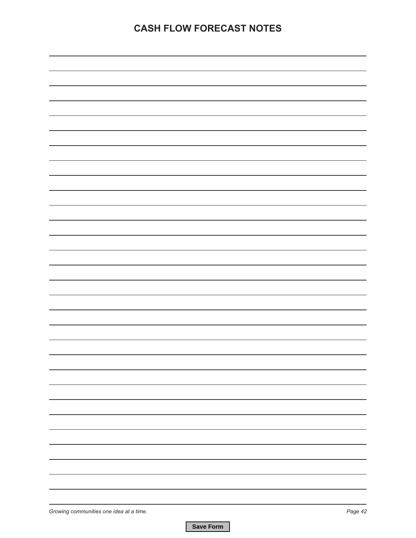## **CASH FLOW FORECAST NOTES**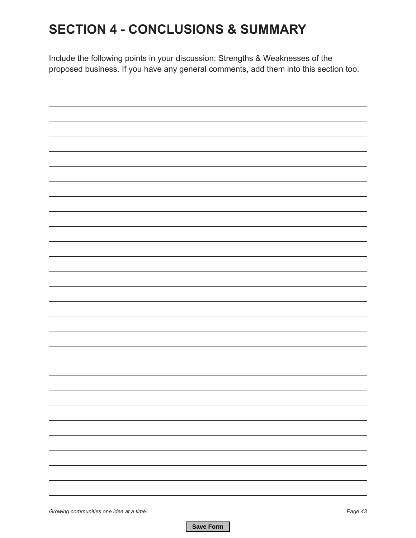# **SECTION 4 - CONCLUSIONS & SUMMARY**

Include the following points in your discussion: Strengths & Weaknesses of the proposed business. If you have any general comments, add them into this section too.

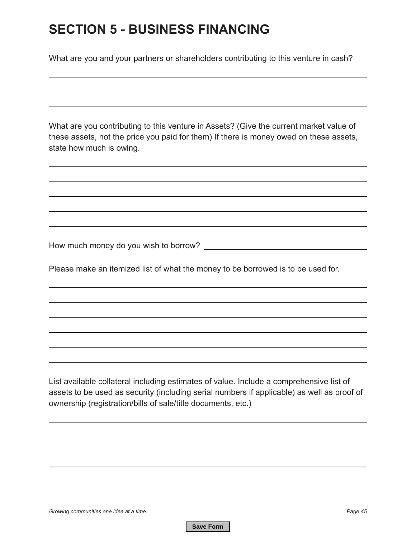# **SECTION 5 - BUSINESS FINANCING**

What are you and your partners or shareholders contributing to this venture in cash?

What are you contributing to this venture in Assets? (Give the current market value of these assets, not the price you paid for them) If there is money owed on these assets, state how much is owing.

How much money do you wish to borrow?

Please make an itemized list of what the money to be borrowed is to be used for.

List available collateral including estimates of value. Include a comprehensive list of assets to be used as security (including serial numbers if applicable) as well as proof of ownership (registration/bills of sale/title documents, etc.)

*Growing communities one idea at a time. Page 45*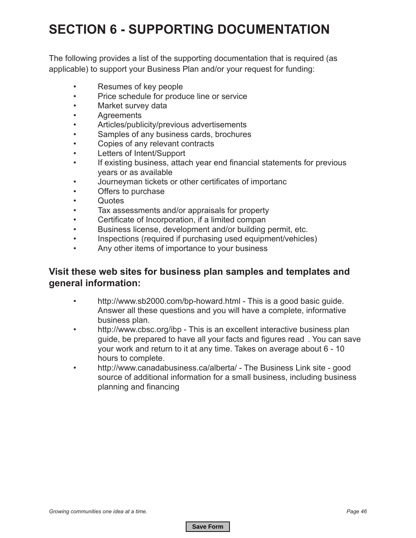# **SECTION 6 - SUPPORTING DOCUMENTATION**

The following provides a list of the supporting documentation that is required (as applicable) to support your Business Plan and/or your request for funding:

- Resumes of key people
- Price schedule for produce line or service
- Market survey data
- **Agreements**
- Articles/publicity/previous advertisements
- Samples of any business cards, brochures
- Copies of any relevant contracts
- Letters of Intent/Support
- If existing business, attach year end financial statements for previous years or as available
- Journeyman tickets or other certificates of importanc
- Offers to purchase
- Quotes
- Tax assessments and/or appraisals for property
- Certificate of Incorporation, if a limited compan
- Business license, development and/or building permit, etc.
- Inspections (required if purchasing used equipment/vehicles)
- Any other items of importance to your business

#### **Visit these web sites for business plan samples and templates and general information:**

- http://www.sb2000.com/bp-howard.html This is a good basic guide. Answer all these questions and you will have a complete, informative business plan.
- http://www.cbsc.org/ibp This is an excellent interactive business plan guide, be prepared to have all your facts and figures read . You can save your work and return to it at any time. Takes on average about 6 - 10 hours to complete.
- http://www.canadabusiness.ca/alberta/ The Business Link site good source of additional information for a small business, including business planning and financing